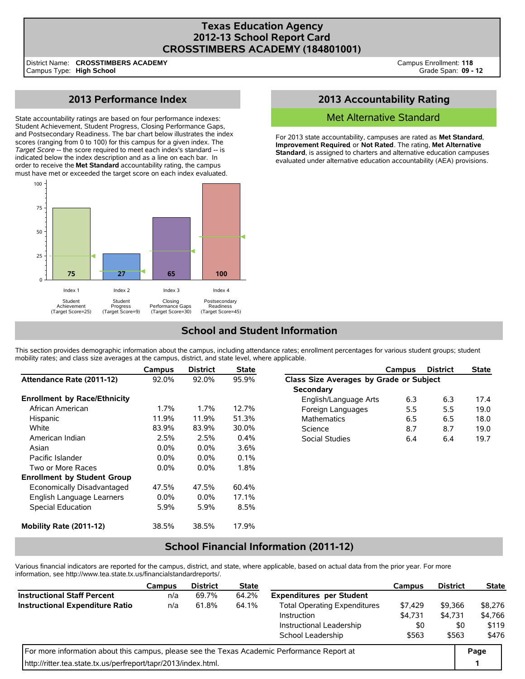### **Texas Education Agency 2012-13 School Report Card CROSSTIMBERS ACADEMY (184801001)**

District Name: Campus Type: **High School CROSSTIMBERS ACADEMY**

# **2013 Performance Index**

State accountability ratings are based on four performance indexes: Student Achievement, Student Progress, Closing Performance Gaps, and Postsecondary Readiness. The bar chart below illustrates the index scores (ranging from 0 to 100) for this campus for a given index. The *Target Score* -- the score required to meet each index's standard -- is indicated below the index description and as a line on each bar. In order to receive the **Met Standard** accountability rating, the campus must have met or exceeded the target score on each index evaluated.



## **2013 Accountability Rating**

#### Met Alternative Standard

For 2013 state accountability, campuses are rated as **Met Standard**, **Improvement Required**, or **Not Rated**. The rating, **Met Alternative Standard**, is assigned to charters and alternative education campuses evaluated under alternative education accountability (AEA) provisions.

## **School and Student Information**

This section provides demographic information about the campus, including attendance rates; enrollment percentages for various student groups; student mobility rates; and class size averages at the campus, district, and state level, where applicable.

|                                     | Campus  | <b>District</b> | <b>State</b> |                                         | Campus | <b>District</b> | <b>State</b> |
|-------------------------------------|---------|-----------------|--------------|-----------------------------------------|--------|-----------------|--------------|
| Attendance Rate (2011-12)           | 92.0%   | 92.0%           | 95.9%        | Class Size Averages by Grade or Subject |        |                 |              |
|                                     |         |                 |              | <b>Secondary</b>                        |        |                 |              |
| <b>Enrollment by Race/Ethnicity</b> |         |                 |              | English/Language Arts                   | 6.3    | 6.3             | 17.4         |
| African American                    | $1.7\%$ | 1.7%            | 12.7%        | Foreign Languages                       | 5.5    | 5.5             | 19.0         |
| Hispanic                            | 11.9%   | 11.9%           | 51.3%        | <b>Mathematics</b>                      | 6.5    | 6.5             | 18.0         |
| White                               | 83.9%   | 83.9%           | 30.0%        | Science                                 | 8.7    | 8.7             | 19.0         |
| American Indian                     | 2.5%    | 2.5%            | 0.4%         | Social Studies                          | 6.4    | 6.4             | 19.7         |
| Asian                               | $0.0\%$ | $0.0\%$         | 3.6%         |                                         |        |                 |              |
| Pacific Islander                    | $0.0\%$ | $0.0\%$         | 0.1%         |                                         |        |                 |              |
| Two or More Races                   | $0.0\%$ | $0.0\%$         | 1.8%         |                                         |        |                 |              |
| <b>Enrollment by Student Group</b>  |         |                 |              |                                         |        |                 |              |
| Economically Disadvantaged          | 47.5%   | 47.5%           | 60.4%        |                                         |        |                 |              |
| English Language Learners           | $0.0\%$ | $0.0\%$         | 17.1%        |                                         |        |                 |              |
| Special Education                   | 5.9%    | 5.9%            | 8.5%         |                                         |        |                 |              |
| Mobility Rate (2011-12)             | 38.5%   | 38.5%           | 17.9%        |                                         |        |                 |              |

## **School Financial Information (2011-12)**

Various financial indicators are reported for the campus, district, and state, where applicable, based on actual data from the prior year. For more information, see http://www.tea.state.tx.us/financialstandardreports/.

|                                                                                             | <b>Campus</b> | <b>District</b> | <b>State</b> |                                     | <b>Campus</b> | <b>District</b> | <b>State</b> |
|---------------------------------------------------------------------------------------------|---------------|-----------------|--------------|-------------------------------------|---------------|-----------------|--------------|
| <b>Instructional Staff Percent</b>                                                          | n/a           | 69.7%           | 64.2%        | <b>Expenditures per Student</b>     |               |                 |              |
| <b>Instructional Expenditure Ratio</b>                                                      | n/a           | 61.8%           | 64.1%        | <b>Total Operating Expenditures</b> | \$7,429       | \$9.366         | \$8.276      |
| Instruction                                                                                 |               | \$4,731         | \$4,731      | \$4,766                             |               |                 |              |
|                                                                                             |               |                 |              | Instructional Leadership            | \$0           | \$0             | \$119        |
|                                                                                             |               |                 |              | School Leadership                   | \$563         | \$563           | \$476        |
| For more information about this campus, please see the Texas Academic Performance Report at |               |                 |              |                                     |               |                 |              |
| http://ritter.tea.state.tx.us/perfreport/tapr/2013/index.html.                              |               |                 |              |                                     |               |                 |              |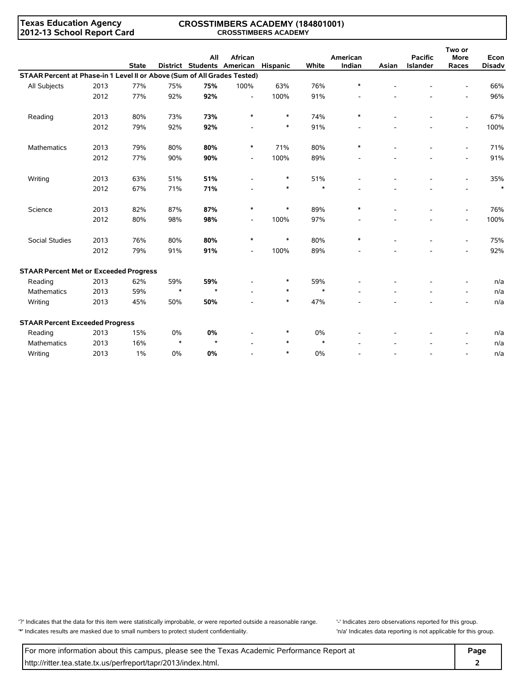#### **Texas Education Agency 2012-13 School Report Card**

#### **CROSSTIMBERS ACADEMY (184801001) CROSSTIMBERS ACADEMY**

|                                                                          |      | <b>State</b> |        | All     | African<br>District Students American | <b>Hispanic</b> | White  | American<br>Indian | Asian | <b>Pacific</b><br>Islander | Two or<br><b>More</b><br>Races | Econ<br><b>Disadv</b> |
|--------------------------------------------------------------------------|------|--------------|--------|---------|---------------------------------------|-----------------|--------|--------------------|-------|----------------------------|--------------------------------|-----------------------|
| STAAR Percent at Phase-in 1 Level II or Above (Sum of All Grades Tested) |      |              |        |         |                                       |                 |        |                    |       |                            |                                |                       |
| All Subjects                                                             | 2013 | 77%          | 75%    | 75%     | 100%                                  | 63%             | 76%    | $\ast$             |       |                            |                                | 66%                   |
|                                                                          | 2012 | 77%          | 92%    | 92%     | $\blacksquare$                        | 100%            | 91%    |                    |       |                            | $\overline{\phantom{0}}$       | 96%                   |
| Reading                                                                  | 2013 | 80%          | 73%    | 73%     | $\ast$                                | $\ast$          | 74%    | $\ast$             |       |                            | $\overline{\phantom{a}}$       | 67%                   |
|                                                                          | 2012 | 79%          | 92%    | 92%     |                                       | $\ast$          | 91%    |                    |       |                            | $\overline{\phantom{a}}$       | 100%                  |
| Mathematics                                                              | 2013 | 79%          | 80%    | 80%     | $\ast$                                | 71%             | 80%    | $\ast$             |       |                            | $\overline{\phantom{a}}$       | 71%                   |
|                                                                          | 2012 | 77%          | 90%    | 90%     | $\overline{\phantom{a}}$              | 100%            | 89%    |                    |       |                            |                                | 91%                   |
| Writing                                                                  | 2013 | 63%          | 51%    | 51%     |                                       | $\ast$          | 51%    |                    |       |                            |                                | 35%                   |
|                                                                          | 2012 | 67%          | 71%    | 71%     |                                       | $\ast$          | $\ast$ |                    |       |                            |                                | $\ast$                |
| Science                                                                  | 2013 | 82%          | 87%    | 87%     | $\ast$                                | $\ast$          | 89%    | $\ast$             |       |                            | $\overline{a}$                 | 76%                   |
|                                                                          | 2012 | 80%          | 98%    | 98%     | $\overline{\phantom{a}}$              | 100%            | 97%    |                    |       |                            | $\overline{\phantom{a}}$       | 100%                  |
| <b>Social Studies</b>                                                    | 2013 | 76%          | 80%    | 80%     | $\ast$                                | $\ast$          | 80%    | $\ast$             |       |                            | $\blacksquare$                 | 75%                   |
|                                                                          | 2012 | 79%          | 91%    | 91%     | $\overline{a}$                        | 100%            | 89%    |                    |       |                            |                                | 92%                   |
| <b>STAAR Percent Met or Exceeded Progress</b>                            |      |              |        |         |                                       |                 |        |                    |       |                            |                                |                       |
| Reading                                                                  | 2013 | 62%          | 59%    | 59%     |                                       | $\ast$          | 59%    |                    |       |                            | $\overline{a}$                 | n/a                   |
| <b>Mathematics</b>                                                       | 2013 | 59%          | $\ast$ | $\star$ |                                       | $\ast$          | $\ast$ |                    |       |                            | $\overline{a}$                 | n/a                   |
| Writing                                                                  | 2013 | 45%          | 50%    | 50%     |                                       | $\ast$          | 47%    |                    |       |                            |                                | n/a                   |
| <b>STAAR Percent Exceeded Progress</b>                                   |      |              |        |         |                                       |                 |        |                    |       |                            |                                |                       |
| Reading                                                                  | 2013 | 15%          | 0%     | 0%      |                                       | $\ast$          | 0%     |                    |       |                            | $\overline{\phantom{a}}$       | n/a                   |
| <b>Mathematics</b>                                                       | 2013 | 16%          | $\ast$ | $\star$ |                                       | $\ast$          | $\ast$ |                    |       |                            |                                | n/a                   |
| Writing                                                                  | 2013 | $1\%$        | 0%     | 0%      |                                       | $\ast$          | 0%     |                    |       |                            | $\overline{\phantom{a}}$       | n/a                   |

'?' Indicates that the data for this item were statistically improbable, or were reported outside a reasonable range. '' Indicates zero observations reported for this group. '\*' Indicates results are masked due to small numbers to protect student confidentiality. 'n/a' Indicates data reporting is not applicable for this group.

For more information about this campus, please see the Texas Academic Performance Report at **Page Page** http://ritter.tea.state.tx.us/perfreport/tapr/2013/index.html. **2**